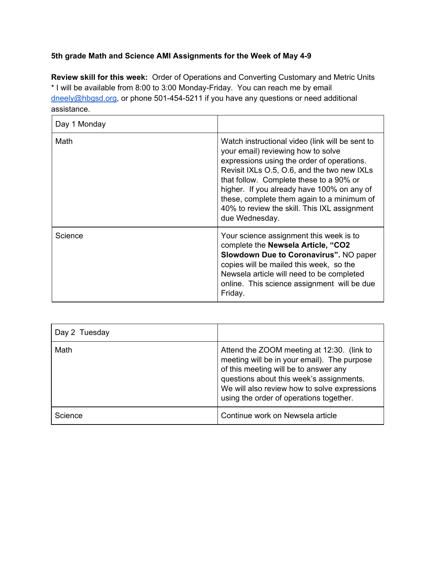## **5th grade Math and Science AMI Assignments for the Week of May 4-9**

**Review skill for this week:** Order of Operations and Converting Customary and Metric Units \* I will be available from 8:00 to 3:00 Monday-Friday. You can reach me by email [dneely@hbgsd.org](mailto:dneely@hbgsd.org), or phone 501-454-5211 if you have any questions or need additional assistance.

| Day 1 Monday |                                                                                                                                                                                                                                                                                                                                                                                             |
|--------------|---------------------------------------------------------------------------------------------------------------------------------------------------------------------------------------------------------------------------------------------------------------------------------------------------------------------------------------------------------------------------------------------|
| Math         | Watch instructional video (link will be sent to<br>your email) reviewing how to solve<br>expressions using the order of operations.<br>Revisit IXLs O.5, O.6, and the two new IXLs<br>that follow. Complete these to a 90% or<br>higher. If you already have 100% on any of<br>these, complete them again to a minimum of<br>40% to review the skill. This IXL assignment<br>due Wednesday. |
| Science      | Your science assignment this week is to<br>complete the Newsela Article, "CO2<br><b>Slowdown Due to Coronavirus". NO paper</b><br>copies will be mailed this week, so the<br>Newsela article will need to be completed<br>online. This science assignment will be due<br>Friday.                                                                                                            |

| Day 2 Tuesday |                                                                                                                                                                                                                                                                           |
|---------------|---------------------------------------------------------------------------------------------------------------------------------------------------------------------------------------------------------------------------------------------------------------------------|
| Math          | Attend the ZOOM meeting at 12:30. (link to<br>meeting will be in your email). The purpose<br>of this meeting will be to answer any<br>questions about this week's assignments.<br>We will also review how to solve expressions<br>using the order of operations together. |
| Science       | Continue work on Newsela article                                                                                                                                                                                                                                          |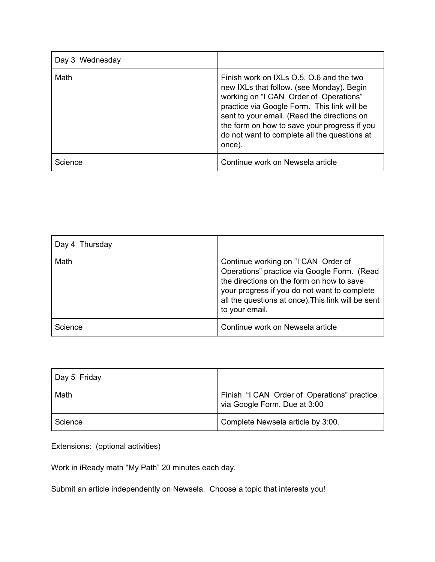| Day 3 Wednesday |                                                                                                                                                                                                                                                                                                                                         |
|-----------------|-----------------------------------------------------------------------------------------------------------------------------------------------------------------------------------------------------------------------------------------------------------------------------------------------------------------------------------------|
| Math            | Finish work on IXLs O.5, O.6 and the two<br>new IXLs that follow. (see Monday). Begin<br>working on "I CAN Order of Operations"<br>practice via Google Form. This link will be<br>sent to your email. (Read the directions on<br>the form on how to save your progress if you<br>do not want to complete all the questions at<br>once). |
| Science         | Continue work on Newsela article                                                                                                                                                                                                                                                                                                        |

| Day 4 Thursday |                                                                                                                                                                                                                                                         |
|----------------|---------------------------------------------------------------------------------------------------------------------------------------------------------------------------------------------------------------------------------------------------------|
| Math           | Continue working on "I CAN Order of<br>Operations" practice via Google Form. (Read<br>the directions on the form on how to save<br>your progress if you do not want to complete<br>all the questions at once). This link will be sent<br>to your email. |
| Science        | Continue work on Newsela article                                                                                                                                                                                                                        |

| Day 5 Friday |                                                                             |
|--------------|-----------------------------------------------------------------------------|
| Math         | Finish "I CAN Order of Operations" practice<br>via Google Form. Due at 3:00 |
| Science      | Complete Newsela article by 3:00.                                           |

Extensions: (optional activities)

Work in iReady math "My Path" 20 minutes each day.

Submit an article independently on Newsela. Choose a topic that interests you!